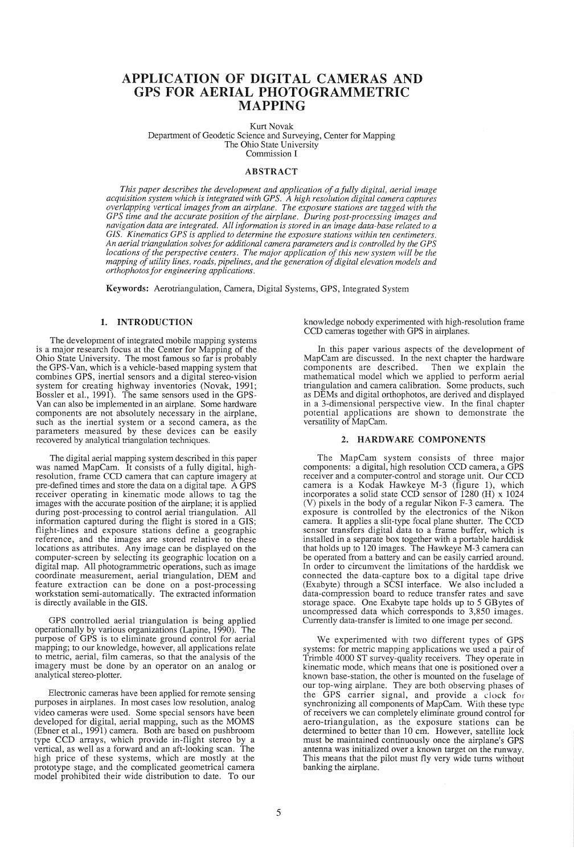# APPLICATION OF DIGITAL CAMERAS AND GPS FOR AERIAL PHOTOGRAMMETRIC MAPPING

Kurt Novak Department of Geodetic Science and Surveying, Center for Mapping The Ohio State University Commission I

#### ABSTRACT

*This paper describes the development and application of a fully digital, aerial image acquisition system which is integrated with GPS. A high resolution digital camera captures overlapping vertical images from an airplane. The exposure stations are tagged with the GP* S *time and the accurate position of the airplane. During post-processing images and navigation data are integrated. All information is stored in an image data-base related to a GIS. Kinematics GPS is applied to determine the exposure stations within ten centimeters. An aerial triangulation solves for additional camera parameters and is controlled by the GPS locations of the perspective centers. The major application of this new system will be the mapping of utility lines, roads, pipelines, and the generation of digital elevation models and orthophotos for engineering applications.* 

Keywords: Aerotriangulation, Camera, Digital Systems, GPS, Integrated System

## 1. INTRODUCTION

The development of integrated mobile mapping systems is a major research focus at the Center for Mapping of the Ohio State University. The most famous so far is probably the GPS-Van, which is a vehicle-based mapping system that combines GPS, inertial sensors and a digital stereo-vision system for creating highway inventories (Novak, 1991; Bossler et aI., 1991). The same sensors used in the GPS-Van can also be implemented in an airplane. Some hardware components are not absolutely necessary in the airplane, such as the inertial system or a second camera, as the parameters measured by these devices can be easily recovered by analytical triangulation techniques.

The digital aerial mapping system described in this paper was named MapCam. It consists of a fully digital, highresolution, frame CCD camera that can capture imagery at pre-defined times and store the data on a digital tape. A GPS receiver operating in kinematic mode allows to tag the images with the accurate position of the airplane; it is applied during post-processing to control aerial triangulation. All information captured during the flight is stored in a GIS; flight-lines and exposure stations define a geographic reference, and the images are stored relative to these locations as attributes. Any image can be displayed on the computer-screen by selecting its geographic location on a digital map. All photogrammetric operations, such as image coordinate measurement, aerial triangulation, DEM and feature extraction can be done on a post-processing workstation semi-automatically. The extracted information is directly available in the GIS.

GPS controlled aerial triangulation is being applied operationally by various organizations (Lapine, 1990). The purpose of GPS is to eliminate ground control for aerial mapping; to our knowledge, however, all applications relate to metric, aerial, film cameras, so that the analysis of the imagery must be done by an operator on an analog or analytical stereo-plotter.

Electronic cameras have been applied for remote sensing purposes in airplanes. In most cases low resolution, analog video cameras were used. Some special sensors have been developed for digital, aerial mapping, such as the MOMS (Ebner et aI., 1991) camera. Both are based on pushbroom type CCD arrays, which provide in-flight stereo by a vertical, as well as a forward and an aft-looking scan. The high price of these systems, which are mostly at the prototype stage, and the complicated geometrical camera model prohibited their wide distribution to date. To our

knowledge nobody experimented with high-resolution frame CCD cameras together with GPS in airplanes.

In this paper various aspects of the development of MapCam are discussed. In the next chapter the hardware components are described. Then we explain the mathematical model which we applied to perform aerial triangulation and camera calibration. Some products, such as DEMs and digital orthophotos, are derived and displayed in a 3-dimensional perspective view. In the final chapter potential applications are shown to demonstrate the versatility of MapCam.

## 2. HARDWARE COMPONENTS

The MapCam system consists of three major components: a digital, high resolution CCD camera, a GPS receiver and a computer-control and storage unit. Our CCD camera is a Kodak Hawkeye M-3 (figure 1), which incorporates a solid state CCD sensor of 1280 (H) x 1024 (V) pixels in the body of a regular Nikon F-3 camera. The exposure is controlled by the electronics of the Nikon camera. It applies a slit-type focal plane shutter. The CCD sensor transfers digital data to a frame buffer, which is installed in a separate box together with a portable harddisk that holds up to 120 images. The Hawkeye M-3 camera can be operated from a battery and can be easily carried around. In order to circumvent the limitations of the harddisk we connected the data-capture box to a digital tape drive (Exabyte) through a SCSI interface. We also included a data-compression board to reduce transfer rates and save storage space. One Exabyte tape holds up to 5 GB ytes of uncompressed data which corresponds to 3,850 images. Currently data-transfer is limited to one image per second.

We experimented with two different types of GPS systems: for metric mapping applications we used a pair of Trimble 4000 ST survey-quality receivers. They operate in kinematic mode, which means that one is positioned over a known base-station, the other is mounted on the fuselage of our top-wing airplane. They are both observing phases of the GPS carrier signal, and provide a clock for synchronizing all components of MapCam. With these type of receivers we can completely eliminate ground control for aero-triangulation, as the exposure stations can be determined to better than 10 cm. However, satellite lock must be maintained continuously once the airplane's GPS antenna was initialized over a known target on the runway. This means that the pilot must fly very wide turns without banking the airplane.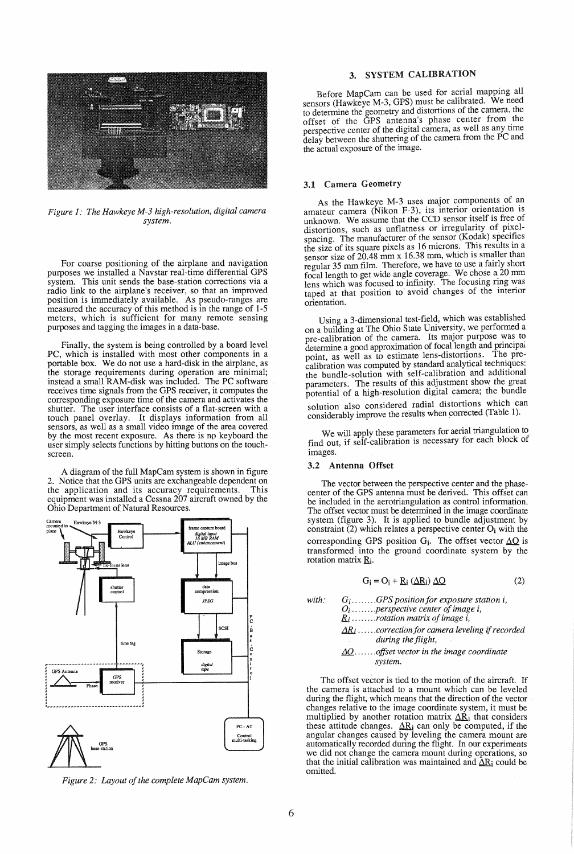

*Figure* 1: *The Hawkeye M-3 high-resolution, digital camera system.* 

For coarse positioning of the airplane and navigation purposes we installed a Navstar real-time differential GPS system. This unit sends the base-station corrections via a radio link to the airplane's receiver, so that an improved<br>position is immediately available. As pseudo-ranges are measured the accuracy of this method is in the range of 1-5 meters, which is sufficient for many remote sensing purposes and tagging the images in a data-base.

Finally, the system is being controlled by a board level PC, which is installed with most other components in a portable box. We do not use a hard-disk in the airplane, as the storage requirements during operation are minimal; instead a small RAM-disk was included. The PC software receives time signals from the GPS receiver, it computes the corresponding exposure time of the camera and activates the shutter. The user interface consists of a flat-screen with a touch panel overlay. It displays information from all sensors, as well as a small video image of the area covered<br>by the most recent exposure. As there is no keyboard the user simply selects functions by hitting buttons on the touchscreen.

A diagram of the full MapCam system is shown in figure 2. Notice that the GPS units are exchangeable dependent on the application and its accuracy requirements. This equipment was installed a Cessna 207 aircraft owned by the Ohio Department of Natural Resources.



*Figure* 2: *Layout of the complete MapCam system.* 

## 3. SYSTEM CALIBRATION

Before MapCam can be used for aerial mapping all sensors (Hawkeye M-3, GPS) must be calibrated. We need to determine the geometry and distortions of the camera, the offset of the GPS antenna's phase center from the perspective center of the digital camera, as well as any time delay between the shuttering of the camera from the PC and the actual exposure of the image.

## 3.1 Camera Geometry

As the Hawkeye M-3 uses major components of an amateur camera (Nikon F-3), its interior orientation is unknown. We assume that the CCD sensor itself is free of distortions, such as unflatness or irregularity of pixelspacing. The manufacturer of the sensor  $(Kodak)$  specifies the size of its square pixels as 16 microns. This results in a sensor size of 20.48 mm x 16.38 mm, which is smaller than regular 35 mm film. Therefore, we have to use a fairly short focal length to get wide angle coverage. We chose a.20 mm lens which was focused to infinity. The focusing ring was taped at that position to' avoid changes of the mtenor orientation.

Using a 3-dimensional test-field, which was established on a building at The Ohio State University, we performed a pre-calibration of the camera. Its major purpose was to. determine a good approximation of focal length and principal point, as well as to estimate lens-distortions. The precalibration was computed by standard analytical techniques: the bundle-solution with self-calibration and additional parameters. The results of this adjustment show the great potential of a high-resolution digital camera; the bundle solution also considered radial distortions which can considerably improve the results when corrected (Table 1).

We will apply these parameters for aerial triangulation to find out, if self-calibration is necessary for each block of images.

## 3.2 Antenna Offset

The vector between the perspective center and the phasecenter of the GPS antenna must be derived. This offset can be included in the aerotriangulation as control information. The offset vector must be determined in the image coordinate system (figure 3). It is applied to bundle adjustment by constraint (2) which relates a perspective center  $O_i$  with the corresponding GPS position  $G_i$ . The offset vector  $\Delta O$  is transformed into the ground coordinate system by the rotation matrix  $R_i$ .

$$
G_i = O_i + R_i \left(\Delta R_i\right) \Delta Q \tag{2}
$$

*with: Gi ........ GPS position for exposure station* i, *0i* ....... *.perspective center of image* i,  $R_i$ ........*rotation matrix of image i*,  $\underline{AR}_i$ ......*correction for camera leveling if recorded during the flight,* 

#### .J.Q ....... *offset vector in the image coordinate system.*

The offset vector is tied to the motion of the aircraft. If the camera is attached to a mount which can be leveled during the flight, which means that the direction of the vector changes relative to the image coordinate system, it must be multiplied by another rotation matrix  $\Delta \dot{R}_i$  that considers these attitude changes.  $\Delta R_i$  can only be computed, if the angular changes caused by leveling the camera mount are automatically recorded during the flight. In our experiments we did not change the camera mount during operations, so that the initial calibration was maintained and  $\Delta R_i$  could be omitted.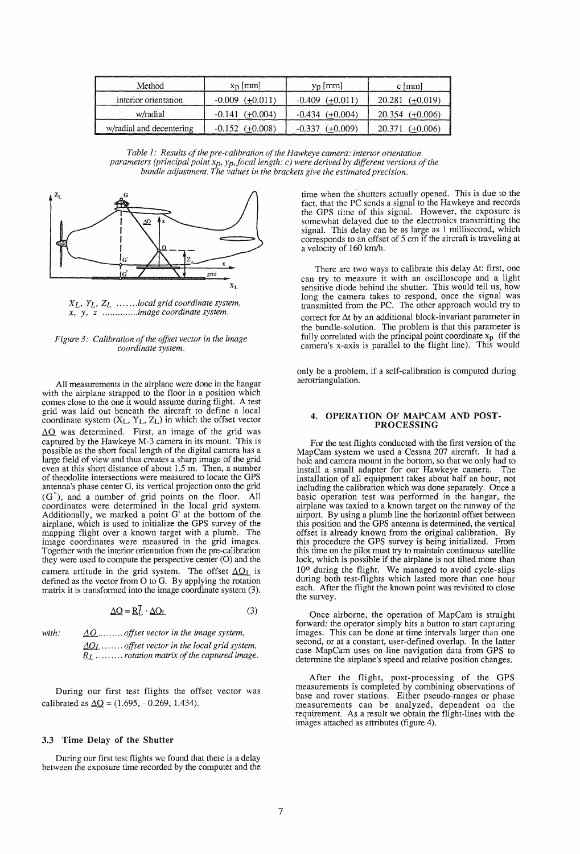| Method                   | $x_D$   mm                     | $y_n$ [mm]          | $c \, \text{[mm]}$   |
|--------------------------|--------------------------------|---------------------|----------------------|
| interior orientation     | $-0.009$ $(+0.011)$            | $-0.409$ $(+0.011)$ | $20.281$ (+0.019)    |
| w/radial                 | $-0.141$ $(+0.004)$            | $-0.434$ $(+0.004)$ | 20.354 $(\pm 0.006)$ |
| w/radial and decentering | $-0.152 \left( +0.008 \right)$ | $-0.337$ $(+0.009)$ | $20.371$ (+0.006)    |

*Table 1: Results of the pre-calibration of the Hawkeye camera: interior orientation parameters (principal point x<sub>p</sub>, y<sub>p</sub>, focal length: c) were derived by different versions of the bundle adjustment. The values in the brackets give the estimated precision.* 



*XL, YL, ZL* ...... *.local grid coordinate system, x, y,* z ............. *.image coordinate system.* 



All measurements in the airplane were done in the hangar with the airplane strapped to the floor in a position which comes close to the one it would assume during flight. A test grid was laid out beneath the aircraft to define a local coordinate system  $(X_L, Y_L, Z_L)$  in which the offset vector  $\Delta$ O was determined. First, an image of the grid was captured by the Hawkeye M-3 camera in its mount. This is possible as the short focal length of the digital camera has a large field of view and thus creates a sharp image of the grid even at this short distance of about 1.5 m. Then, a number of theodolite intersections were measured to locate the GPS antenna's phase center G, its vertical projection onto the grid  $(G<sup>n</sup>)$ , and a number of grid points on the floor. All coordinates were determined in the local grid system. Additionally, we marked a point G' at the bottom of the airplane, which is used to initialize the GPS survey of the mapping flight over a known target with a plumb. The image coordinates were measured in the grid images. Together with the interior orientation from the pre-calibration they were used to compute the perspective center (0) and the camera attitude in the grid system. The offset  $\Delta O_L$  is defined as the vector from 0 to G. By applying the rotation matrix it is transformed into the image coordinate system (3).

$$
\underline{\Delta O} = \underline{R}_L^T \cdot \underline{\Delta O_L} \tag{3}
$$

*with:*  $\underline{\Delta Q}$ ........ *offset vector in the image system,*  $\Delta Q_L$  ....... *offset vector in the local grid system*, RL ......... *rotation matrix of the captured image.* 

During our first test flights the offset vector was calibrated as  $\Delta Q = (1.695, -0.269, 1.434).$ 

#### 3.3 Time Delay of the Shutter

During our first test flights we found that there is a delay between the exposure time recorded by the computer and the

time when the shutters actually opened. This is due to the fact, that the PC sends a signal to the Hawkeye and records the GPS time of this signal. However, the exposure is somewhat delayed due to the electronics transmitting the signal. This delay can be as large as 1 millisecond, which corresponds to an offset of 5 cm if the aircraft is traveling at a velocity of 160 km/h.

There are two ways to calibrate this delay  $\Delta t$ : first, one can try to measure it with an oscilloscope and a light sensitive diode behind the shutter. This would tell us, how long the camera takes to respond, once the signal was transmitted from the PC. The other approach would try to correct for  $\Delta t$  by an additional block-invariant parameter in the bundle-solution. The problem is that this parameter is fully correlated with the principal point coordinate  $x_p$  (if the camera's x-axis is parallel to the flight line). This would

only be a problem, if a self-calibration is computed during aerotriangulation.

#### 4. OPERATION OF MAPCAM AND POST-PROCESSING

For the test flights conducted with the first version of the MapCam system we used a Cessna 207 aircraft. It had a hole and camera mount in the bottom, so that we only had to install a small adapter for our Hawkeye camera. The installation of all equipment takes about half an hour, not including the calibration which was done separately. Once a basic operation test was performed in the hangar, the airplane was taxied to a known target on the runway of the airport. By using a plumb line the horizontal offset between this position and the GPS antenna is determined, the vertical offset is already known from the original calibration. By this procedure the GPS survey is being initialized. From this time on the pilot must try to maintain continuous satellite lock, which is possible if the airplane is not tilted more than 10° during the flight. We managed to avoid cycle-slips during both test-flights which lasted more than one hour each. After the flight the known point was revisited to close the survey.

Once airborne, the operation of MapCam is straight forward: the operator simply hits a button to start capturing images. This can be done at time intervals larger than one second, or at a constant, user-defined overlap. In the latter case MapCam uses on-line navigation data from GPS to determine the airplane's speed and relative position changes.

After the flight, post-processing of the GPS measurements is completed by combining observations of base and rover stations. Either pseudo-ranges or phase measurements can be analyzed, dependent on the requirement. As a result we obtain the flight-lines with the images attached as attributes (figure 4).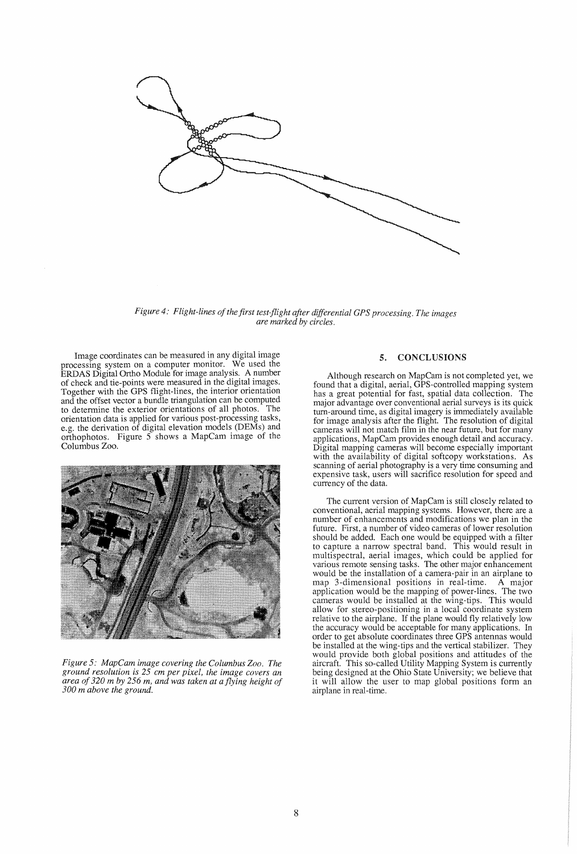

*Figure 4: Flight-lines of the first test-flight after differential GPS processing. The images are marked by circles.* 

Image coordinates can be measured in any digital image processing system on a computer monitor. We used the ERDAS Digital Ortho Module for image analysis. A number of check and tie-points were measured in the digital images. Together with the GPS flight-lines, the interior orientation and the offset vector a bundle triangulation can be computed to determine the exterior orientations of all photos. The orientation data is applied for various post-processing tasks, e.g. the derivation of digital elevation models (DEMs) and orthophotos. Figure 5 shows a MapCam Image of the Columbus Zoo.



*Figure* 5: *MapCam image covering the Columbus Zoo. The ground resolution is* 25 *cm per pixel, the image covers an area of* 320 *m by* 256 *m, and was taken at a flying height of 300 m above the ground.* 

## 5. CONCLUSIONS

Although research on MapCam is not completed yet, we found that a digital, aerial, GPS-controlled mapping system has a great potential for fast, spatial data collection. The major advantage over conventional aerial surveys is its quick tum-around time, as digital imagery is immediately available for image analysis after the flight. The resolution of digital cameras will not match film in the near future, but for many applications, MapCam provides enough detail and accuracy. Digital mapping cameras will become especially important with the availability of digital softcopy workstations. As scanning of aerial photography is a very time consuming and expensive task, users will sacrifice resolution for speed and currency of the data.

The current version of MapCam is still closely related to conventional, aerial mapping systems. However, there are a number of enhancements and modifications we plan in the future. First, a number of video cameras of lower resolution should be added. Each one would be equipped with a filter to capture a narrow spectral band. This would result in multispectral, aerial images, which could be applied for various remote sensing tasks. The other major enhancement would be the installation of a camera-pair in an airplane to map 3-dimensional positions in real-time. A major application would be the mapping of power-lines. The two cameras would be installed at the wing-tips. This would allow for stereo-positioning in a local coordinate system relative to the airplane. If the plane would fly relatively low the accuracy would be acceptable for many applications. In order to get absolute coordinates three GPS antennas would be installed at the wing-tips and the vertical stabilizer. They would provide both global positions and attitudes of the aircraft. This so-called Utility Mapping System is currently being designed at the Ohio State University; we believe that it will allow the user to map global positions form an airplane in real-time.